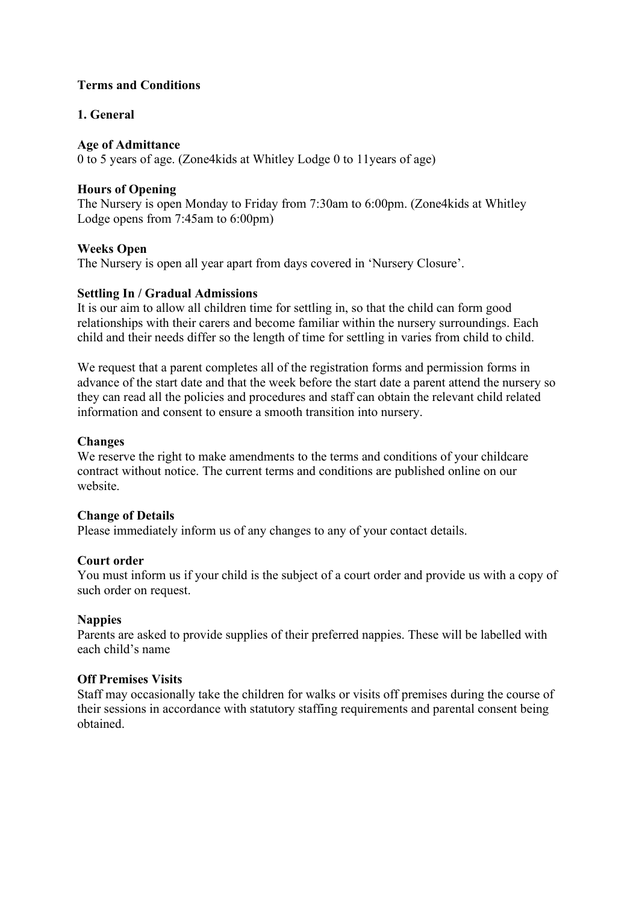# **Terms and Conditions**

# **1. General**

## **Age of Admittance**

0 to 5 years of age. (Zone4kids at Whitley Lodge 0 to 11years of age)

# **Hours of Opening**

The Nursery is open Monday to Friday from 7:30am to 6:00pm. (Zone4kids at Whitley Lodge opens from 7:45am to 6:00pm)

# **Weeks Open**

The Nursery is open all year apart from days covered in 'Nursery Closure'.

# **Settling In / Gradual Admissions**

It is our aim to allow all children time for settling in, so that the child can form good relationships with their carers and become familiar within the nursery surroundings. Each child and their needs differ so the length of time for settling in varies from child to child.

We request that a parent completes all of the registration forms and permission forms in advance of the start date and that the week before the start date a parent attend the nursery so they can read all the policies and procedures and staff can obtain the relevant child related information and consent to ensure a smooth transition into nursery.

# **Changes**

We reserve the right to make amendments to the terms and conditions of your childcare contract without notice. The current terms and conditions are published online on our website.

## **Change of Details**

Please immediately inform us of any changes to any of your contact details.

## **Court order**

You must inform us if your child is the subject of a court order and provide us with a copy of such order on request.

# **Nappies**

Parents are asked to provide supplies of their preferred nappies. These will be labelled with each child's name

## **Off Premises Visits**

Staff may occasionally take the children for walks or visits off premises during the course of their sessions in accordance with statutory staffing requirements and parental consent being obtained.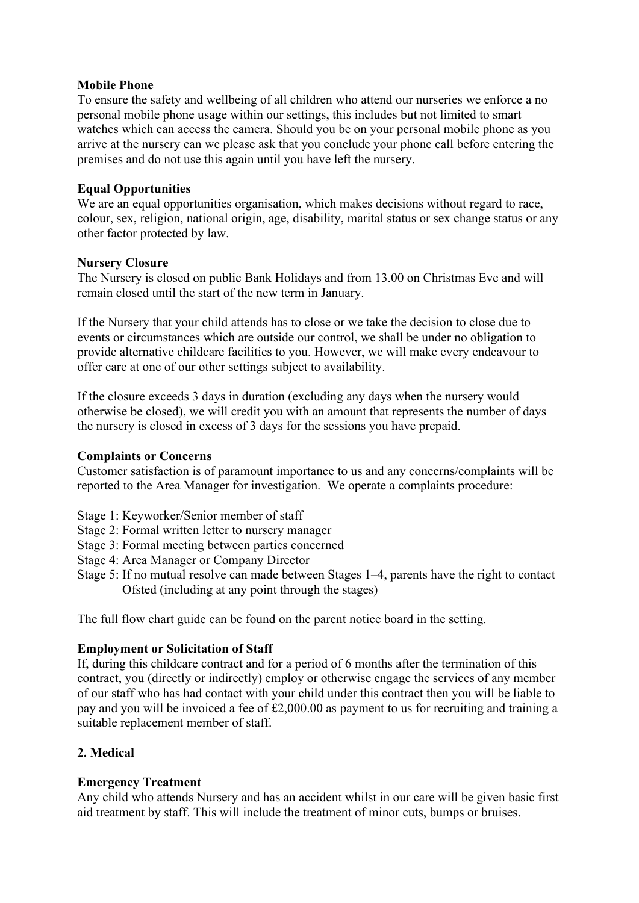### **Mobile Phone**

To ensure the safety and wellbeing of all children who attend our nurseries we enforce a no personal mobile phone usage within our settings, this includes but not limited to smart watches which can access the camera. Should you be on your personal mobile phone as you arrive at the nursery can we please ask that you conclude your phone call before entering the premises and do not use this again until you have left the nursery.

## **Equal Opportunities**

We are an equal opportunities organisation, which makes decisions without regard to race, colour, sex, religion, national origin, age, disability, marital status or sex change status or any other factor protected by law.

### **Nursery Closure**

The Nursery is closed on public Bank Holidays and from 13.00 on Christmas Eve and will remain closed until the start of the new term in January.

If the Nursery that your child attends has to close or we take the decision to close due to events or circumstances which are outside our control, we shall be under no obligation to provide alternative childcare facilities to you. However, we will make every endeavour to offer care at one of our other settings subject to availability.

If the closure exceeds 3 days in duration (excluding any days when the nursery would otherwise be closed), we will credit you with an amount that represents the number of days the nursery is closed in excess of 3 days for the sessions you have prepaid.

### **Complaints or Concerns**

Customer satisfaction is of paramount importance to us and any concerns/complaints will be reported to the Area Manager for investigation. We operate a complaints procedure:

- Stage 1: Keyworker/Senior member of staff
- Stage 2: Formal written letter to nursery manager
- Stage 3: Formal meeting between parties concerned
- Stage 4: Area Manager or Company Director
- Stage 5: If no mutual resolve can made between Stages 1–4, parents have the right to contact Ofsted (including at any point through the stages)

The full flow chart guide can be found on the parent notice board in the setting.

## **Employment or Solicitation of Staff**

If, during this childcare contract and for a period of 6 months after the termination of this contract, you (directly or indirectly) employ or otherwise engage the services of any member of our staff who has had contact with your child under this contract then you will be liable to pay and you will be invoiced a fee of £2,000.00 as payment to us for recruiting and training a suitable replacement member of staff.

## **2. Medical**

## **Emergency Treatment**

Any child who attends Nursery and has an accident whilst in our care will be given basic first aid treatment by staff. This will include the treatment of minor cuts, bumps or bruises.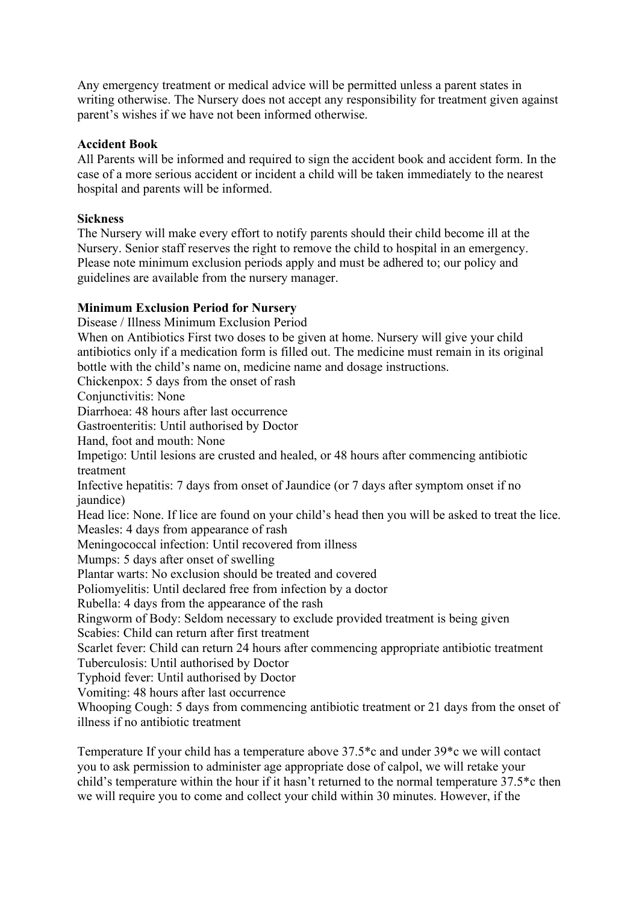Any emergency treatment or medical advice will be permitted unless a parent states in writing otherwise. The Nursery does not accept any responsibility for treatment given against parent's wishes if we have not been informed otherwise.

### **Accident Book**

All Parents will be informed and required to sign the accident book and accident form. In the case of a more serious accident or incident a child will be taken immediately to the nearest hospital and parents will be informed.

### **Sickness**

The Nursery will make every effort to notify parents should their child become ill at the Nursery. Senior staff reserves the right to remove the child to hospital in an emergency. Please note minimum exclusion periods apply and must be adhered to; our policy and guidelines are available from the nursery manager.

### **Minimum Exclusion Period for Nursery**

Disease / Illness Minimum Exclusion Period When on Antibiotics First two doses to be given at home. Nursery will give your child antibiotics only if a medication form is filled out. The medicine must remain in its original bottle with the child's name on, medicine name and dosage instructions. Chickenpox: 5 days from the onset of rash Conjunctivitis: None Diarrhoea: 48 hours after last occurrence Gastroenteritis: Until authorised by Doctor Hand, foot and mouth: None Impetigo: Until lesions are crusted and healed, or 48 hours after commencing antibiotic treatment Infective hepatitis: 7 days from onset of Jaundice (or 7 days after symptom onset if no iaundice) Head lice: None. If lice are found on your child's head then you will be asked to treat the lice. Measles: 4 days from appearance of rash Meningococcal infection: Until recovered from illness Mumps: 5 days after onset of swelling Plantar warts: No exclusion should be treated and covered Poliomyelitis: Until declared free from infection by a doctor Rubella: 4 days from the appearance of the rash Ringworm of Body: Seldom necessary to exclude provided treatment is being given Scabies: Child can return after first treatment Scarlet fever: Child can return 24 hours after commencing appropriate antibiotic treatment Tuberculosis: Until authorised by Doctor Typhoid fever: Until authorised by Doctor Vomiting: 48 hours after last occurrence Whooping Cough: 5 days from commencing antibiotic treatment or 21 days from the onset of illness if no antibiotic treatment

Temperature If your child has a temperature above 37.5\*c and under 39\*c we will contact you to ask permission to administer age appropriate dose of calpol, we will retake your child's temperature within the hour if it hasn't returned to the normal temperature 37.5\*c then we will require you to come and collect your child within 30 minutes. However, if the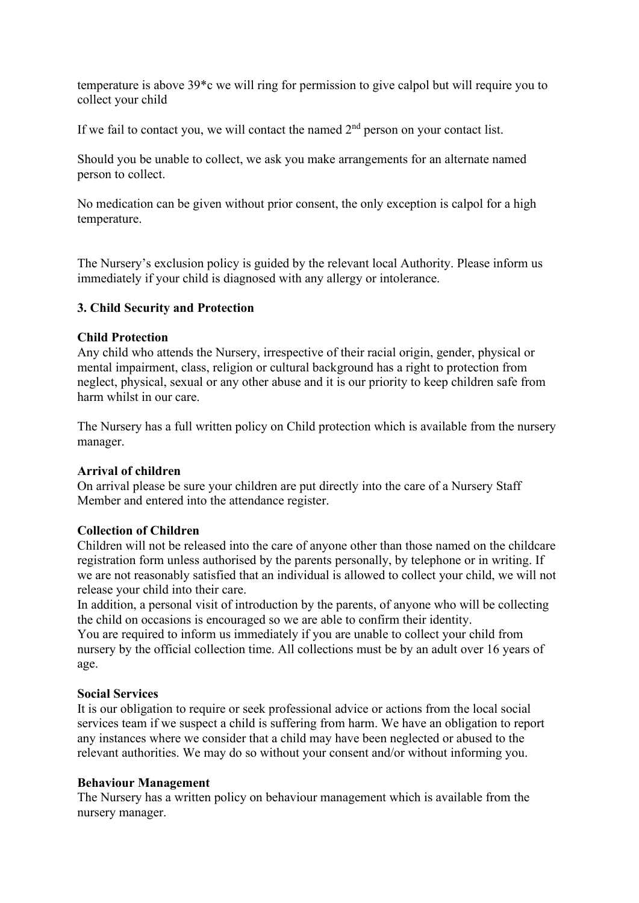temperature is above 39\*c we will ring for permission to give calpol but will require you to collect your child

If we fail to contact you, we will contact the named  $2<sup>nd</sup>$  person on your contact list.

Should you be unable to collect, we ask you make arrangements for an alternate named person to collect.

No medication can be given without prior consent, the only exception is calpol for a high temperature.

The Nursery's exclusion policy is guided by the relevant local Authority. Please inform us immediately if your child is diagnosed with any allergy or intolerance.

### **3. Child Security and Protection**

#### **Child Protection**

Any child who attends the Nursery, irrespective of their racial origin, gender, physical or mental impairment, class, religion or cultural background has a right to protection from neglect, physical, sexual or any other abuse and it is our priority to keep children safe from harm whilst in our care.

The Nursery has a full written policy on Child protection which is available from the nursery manager.

#### **Arrival of children**

On arrival please be sure your children are put directly into the care of a Nursery Staff Member and entered into the attendance register.

#### **Collection of Children**

Children will not be released into the care of anyone other than those named on the childcare registration form unless authorised by the parents personally, by telephone or in writing. If we are not reasonably satisfied that an individual is allowed to collect your child, we will not release your child into their care.

In addition, a personal visit of introduction by the parents, of anyone who will be collecting the child on occasions is encouraged so we are able to confirm their identity.

You are required to inform us immediately if you are unable to collect your child from nursery by the official collection time. All collections must be by an adult over 16 years of age.

#### **Social Services**

It is our obligation to require or seek professional advice or actions from the local social services team if we suspect a child is suffering from harm. We have an obligation to report any instances where we consider that a child may have been neglected or abused to the relevant authorities. We may do so without your consent and/or without informing you.

#### **Behaviour Management**

The Nursery has a written policy on behaviour management which is available from the nursery manager.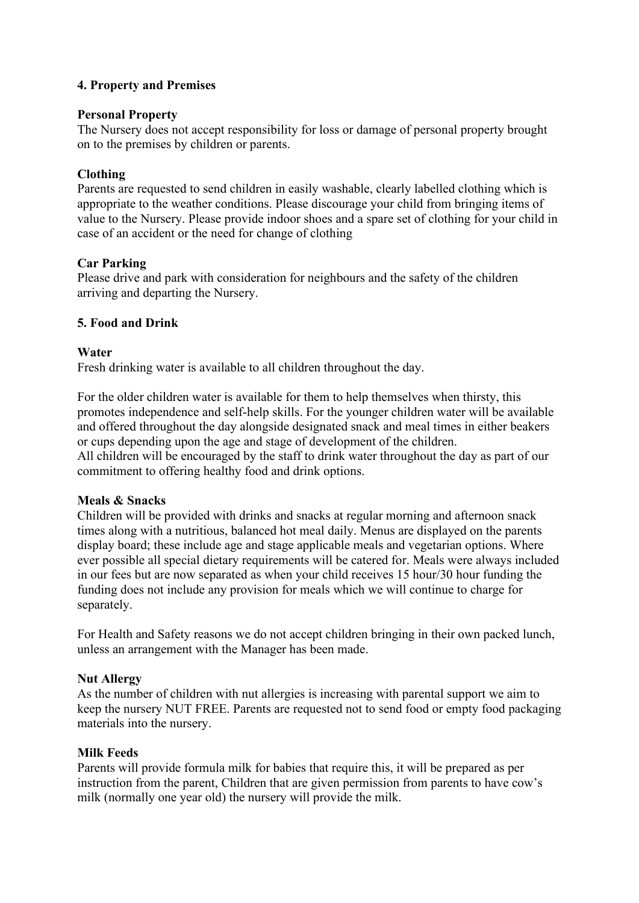## **4. Property and Premises**

#### **Personal Property**

The Nursery does not accept responsibility for loss or damage of personal property brought on to the premises by children or parents.

### **Clothing**

Parents are requested to send children in easily washable, clearly labelled clothing which is appropriate to the weather conditions. Please discourage your child from bringing items of value to the Nursery. Please provide indoor shoes and a spare set of clothing for your child in case of an accident or the need for change of clothing

### **Car Parking**

Please drive and park with consideration for neighbours and the safety of the children arriving and departing the Nursery.

### **5. Food and Drink**

### **Water**

Fresh drinking water is available to all children throughout the day.

For the older children water is available for them to help themselves when thirsty, this promotes independence and self-help skills. For the younger children water will be available and offered throughout the day alongside designated snack and meal times in either beakers or cups depending upon the age and stage of development of the children. All children will be encouraged by the staff to drink water throughout the day as part of our commitment to offering healthy food and drink options.

#### **Meals & Snacks**

Children will be provided with drinks and snacks at regular morning and afternoon snack times along with a nutritious, balanced hot meal daily. Menus are displayed on the parents display board; these include age and stage applicable meals and vegetarian options. Where ever possible all special dietary requirements will be catered for. Meals were always included in our fees but are now separated as when your child receives 15 hour/30 hour funding the funding does not include any provision for meals which we will continue to charge for separately.

For Health and Safety reasons we do not accept children bringing in their own packed lunch, unless an arrangement with the Manager has been made.

#### **Nut Allergy**

As the number of children with nut allergies is increasing with parental support we aim to keep the nursery NUT FREE. Parents are requested not to send food or empty food packaging materials into the nursery.

#### **Milk Feeds**

Parents will provide formula milk for babies that require this, it will be prepared as per instruction from the parent, Children that are given permission from parents to have cow's milk (normally one year old) the nursery will provide the milk.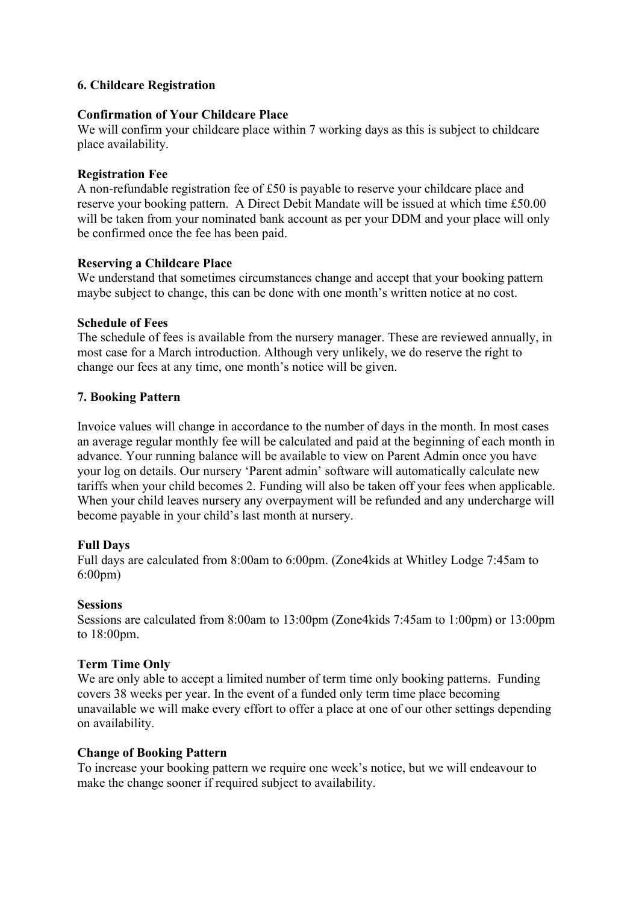## **6. Childcare Registration**

#### **Confirmation of Your Childcare Place**

We will confirm your childcare place within 7 working days as this is subject to childcare place availability.

#### **Registration Fee**

A non-refundable registration fee of £50 is payable to reserve your childcare place and reserve your booking pattern. A Direct Debit Mandate will be issued at which time £50.00 will be taken from your nominated bank account as per your DDM and your place will only be confirmed once the fee has been paid.

#### **Reserving a Childcare Place**

We understand that sometimes circumstances change and accept that your booking pattern maybe subject to change, this can be done with one month's written notice at no cost.

#### **Schedule of Fees**

The schedule of fees is available from the nursery manager. These are reviewed annually, in most case for a March introduction. Although very unlikely, we do reserve the right to change our fees at any time, one month's notice will be given.

#### **7. Booking Pattern**

Invoice values will change in accordance to the number of days in the month. In most cases an average regular monthly fee will be calculated and paid at the beginning of each month in advance. Your running balance will be available to view on Parent Admin once you have your log on details. Our nursery 'Parent admin' software will automatically calculate new tariffs when your child becomes 2. Funding will also be taken off your fees when applicable. When your child leaves nursery any overpayment will be refunded and any undercharge will become payable in your child's last month at nursery.

#### **Full Days**

Full days are calculated from 8:00am to 6:00pm. (Zone4kids at Whitley Lodge 7:45am to 6:00pm)

#### **Sessions**

Sessions are calculated from 8:00am to 13:00pm (Zone4kids 7:45am to 1:00pm) or 13:00pm to 18:00pm.

#### **Term Time Only**

We are only able to accept a limited number of term time only booking patterns. Funding covers 38 weeks per year. In the event of a funded only term time place becoming unavailable we will make every effort to offer a place at one of our other settings depending on availability.

#### **Change of Booking Pattern**

To increase your booking pattern we require one week's notice, but we will endeavour to make the change sooner if required subject to availability.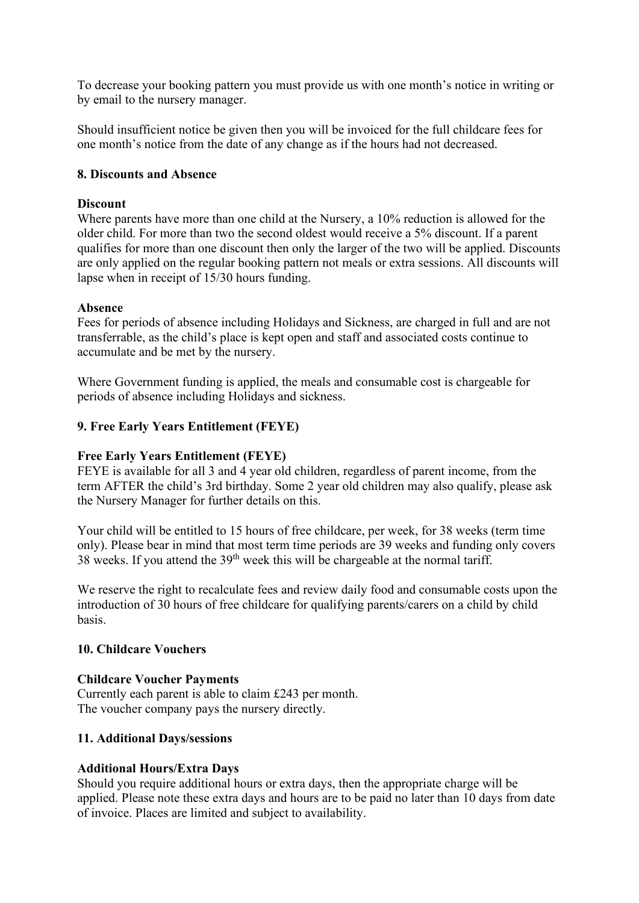To decrease your booking pattern you must provide us with one month's notice in writing or by email to the nursery manager.

Should insufficient notice be given then you will be invoiced for the full childcare fees for one month's notice from the date of any change as if the hours had not decreased.

### **8. Discounts and Absence**

### **Discount**

Where parents have more than one child at the Nursery, a 10% reduction is allowed for the older child. For more than two the second oldest would receive a 5% discount. If a parent qualifies for more than one discount then only the larger of the two will be applied. Discounts are only applied on the regular booking pattern not meals or extra sessions. All discounts will lapse when in receipt of 15/30 hours funding.

### **Absence**

Fees for periods of absence including Holidays and Sickness, are charged in full and are not transferrable, as the child's place is kept open and staff and associated costs continue to accumulate and be met by the nursery.

Where Government funding is applied, the meals and consumable cost is chargeable for periods of absence including Holidays and sickness.

## **9. Free Early Years Entitlement (FEYE)**

### **Free Early Years Entitlement (FEYE)**

FEYE is available for all 3 and 4 year old children, regardless of parent income, from the term AFTER the child's 3rd birthday. Some 2 year old children may also qualify, please ask the Nursery Manager for further details on this.

Your child will be entitled to 15 hours of free childcare, per week, for 38 weeks (term time only). Please bear in mind that most term time periods are 39 weeks and funding only covers  $38$  weeks. If you attend the  $39<sup>th</sup>$  week this will be chargeable at the normal tariff.

We reserve the right to recalculate fees and review daily food and consumable costs upon the introduction of 30 hours of free childcare for qualifying parents/carers on a child by child basis.

#### **10. Childcare Vouchers**

#### **Childcare Voucher Payments**

Currently each parent is able to claim £243 per month. The voucher company pays the nursery directly.

#### **11. Additional Days/sessions**

#### **Additional Hours/Extra Days**

Should you require additional hours or extra days, then the appropriate charge will be applied. Please note these extra days and hours are to be paid no later than 10 days from date of invoice. Places are limited and subject to availability.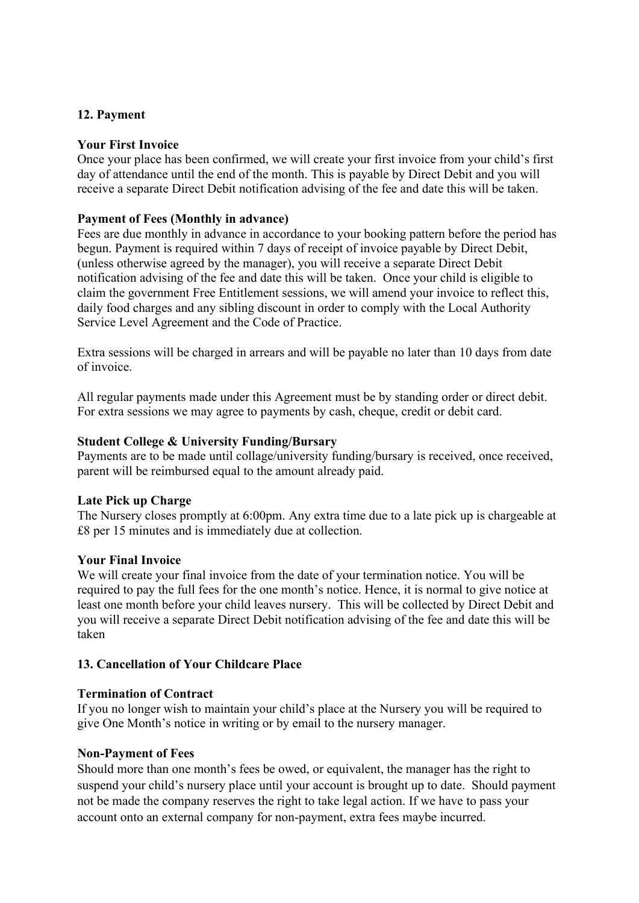## **12. Payment**

## **Your First Invoice**

Once your place has been confirmed, we will create your first invoice from your child's first day of attendance until the end of the month. This is payable by Direct Debit and you will receive a separate Direct Debit notification advising of the fee and date this will be taken.

### **Payment of Fees (Monthly in advance)**

Fees are due monthly in advance in accordance to your booking pattern before the period has begun. Payment is required within 7 days of receipt of invoice payable by Direct Debit, (unless otherwise agreed by the manager), you will receive a separate Direct Debit notification advising of the fee and date this will be taken. Once your child is eligible to claim the government Free Entitlement sessions, we will amend your invoice to reflect this, daily food charges and any sibling discount in order to comply with the Local Authority Service Level Agreement and the Code of Practice.

Extra sessions will be charged in arrears and will be payable no later than 10 days from date of invoice.

All regular payments made under this Agreement must be by standing order or direct debit. For extra sessions we may agree to payments by cash, cheque, credit or debit card.

### **Student College & University Funding/Bursary**

Payments are to be made until collage/university funding/bursary is received, once received, parent will be reimbursed equal to the amount already paid.

#### **Late Pick up Charge**

The Nursery closes promptly at 6:00pm. Any extra time due to a late pick up is chargeable at £8 per 15 minutes and is immediately due at collection.

#### **Your Final Invoice**

We will create your final invoice from the date of your termination notice. You will be required to pay the full fees for the one month's notice. Hence, it is normal to give notice at least one month before your child leaves nursery. This will be collected by Direct Debit and you will receive a separate Direct Debit notification advising of the fee and date this will be taken

## **13. Cancellation of Your Childcare Place**

## **Termination of Contract**

If you no longer wish to maintain your child's place at the Nursery you will be required to give One Month's notice in writing or by email to the nursery manager.

#### **Non-Payment of Fees**

Should more than one month's fees be owed, or equivalent, the manager has the right to suspend your child's nursery place until your account is brought up to date. Should payment not be made the company reserves the right to take legal action. If we have to pass your account onto an external company for non-payment, extra fees maybe incurred.